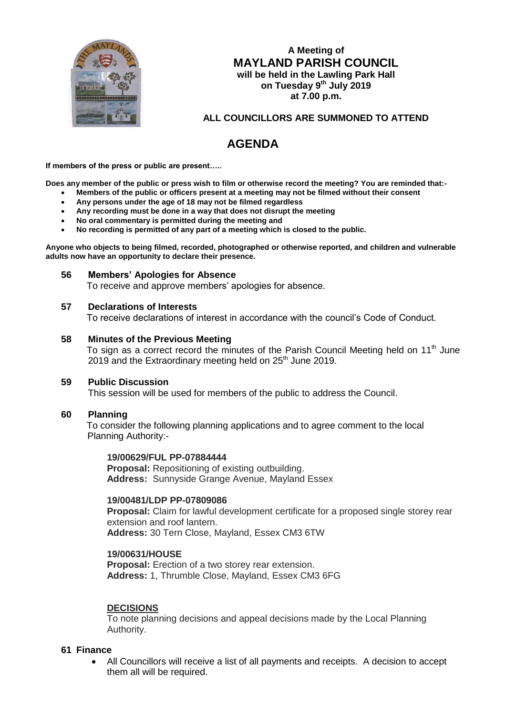

**A Meeting of MAYLAND PARISH COUNCIL will be held in the Lawling Park Hall on Tuesday 9 th July 2019 at 7.00 p.m.**

## **ALL COUNCILLORS ARE SUMMONED TO ATTEND**

# **AGENDA**

**If members of the press or public are present…..**

**Does any member of the public or press wish to film or otherwise record the meeting? You are reminded that:-**

- **Members of the public or officers present at a meeting may not be filmed without their consent**
- **Any persons under the age of 18 may not be filmed regardless**
- **Any recording must be done in a way that does not disrupt the meeting**
- **No oral commentary is permitted during the meeting and**
- **No recording is permitted of any part of a meeting which is closed to the public.**

**Anyone who objects to being filmed, recorded, photographed or otherwise reported, and children and vulnerable adults now have an opportunity to declare their presence.**

#### **56 Members' Apologies for Absence**

To receive and approve members' apologies for absence.

#### **57 Declarations of Interests**

To receive declarations of interest in accordance with the council's Code of Conduct.

### **58 Minutes of the Previous Meeting**

To sign as a correct record the minutes of the Parish Council Meeting held on 11th June 2019 and the Extraordinary meeting held on  $25<sup>th</sup>$  June 2019.

### **59 Public Discussion**

This session will be used for members of the public to address the Council.

### **60 Planning**

 To consider the following planning applications and to agree comment to the local Planning Authority:-

#### **19/00629/FUL PP-07884444**

**Proposal:** Repositioning of existing outbuilding. **Address:** Sunnyside Grange Avenue, Mayland Essex

#### **19/00481/LDP PP-07809086**

**Proposal:** Claim for lawful development certificate for a proposed single storey rear extension and roof lantern. **Address:** 30 Tern Close, Mayland, Essex CM3 6TW

#### **19/00631/HOUSE**

**Proposal:** Erection of a two storey rear extension. **Address:** 1, Thrumble Close, Mayland, Essex CM3 6FG

### **DECISIONS**

To note planning decisions and appeal decisions made by the Local Planning Authority.

### **61 Finance**

 All Councillors will receive a list of all payments and receipts. A decision to accept them all will be required.